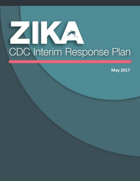# K CDC Interim Response Plan

**May 2017**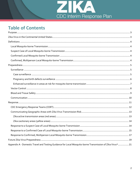

# **Table of Contents**

| Appendix A - Domestic Travel and Testing Guidance for Local Mosquito-borne Transmission of Zika Virus*21 |  |
|----------------------------------------------------------------------------------------------------------|--|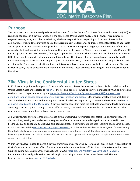

#### <span id="page-2-0"></span>**Purpose**

This document describes updated guidance and resources from the Centers for Disease Control and Prevention (CDC) for responding to cases of Zika virus infection in the continental United States (CONUS) and Hawaii. This guidance is targeted to state, local, and tribal jurisdictions, which are responsible for responding to Zika virus disease in their communities. This guidance may also be used by jurisdictions in US territories and freely associated states as applicable and adapted as needed. Information is provided to assist jurisdictions in protecting pregnant women and infants and responding to travel-associated, sexually transmitted, and locally acquired Zika virus infections in the United States. CDC encourages jurisdictions to use existing funding to support these activities. There are no additional funds available from CDC at this time to support implementation of this guidance. This document serves as a reference for public health decision-making and is not meant to be prescriptive or comprehensive, as activities and decisions are jurisdiction- and event-specific. The response activities outlined in this plan are based on currently available knowledge about Zika virus, its transmission, and its effects on pregnant women and infants. These activities may change as more is learned about Zika virus.

## <span id="page-2-1"></span>**Zika Virus in the Continental United States**

In 2016, non-congenital and congenital Zika virus infection and disease became nationally notifiable conditions in the United States. Cases are reported t[o ArboNET,](https://www.cdc.gov/westnile/resourcepages/survresources.html) the national arboviral surveillance system managed by CDC and state and territorial health departments, using the [Council of State and Territorial Epidemiologists \(CSTE\) approved case](https://wwwn.cdc.gov/nndss/conditions/zika/)  [definitions for non-congenital and congenital Zika virus infection and disease.](https://wwwn.cdc.gov/nndss/conditions/zika/) CDC provides weekly provisional data on Zika virus disease case counts and presumptive viremic blood donors reported by US states and territories on the CDC [Zika Virus Case Counts in the US website.](https://www.cdc.gov/zika/geo/united-states.html) Zika virus disease cases that meet the probable or confirmed CSTE definitions are categorized as acquired through travel to affected areas, presumed local mosquito-borne transmission, or other routes (e.g., sexual, laboratory, or blood-borne transmission).

Zika virus infection during pregnancy may cause birth defects including microcephaly, fetal brain abnormalities, eye abnormalities, hearing loss, and other consequences of central nervous system damage in infants exposed in utero. Pregnancy loss and neonatal deaths have also been reported. To complement notifiable reporting of Zika virus disease, CDC has established th[e US Zika Pregnancy Registry \(USZPR\),](https://www.cdc.gov/zika/reporting/registry.html) an enhanced national surveillance system for monitoring the effects of Zika virus infection on pregnant women and their infants. The USZPR includes pregnant women with laboratory evidence of possible Zika virus infection in a maternal, placental, or fetal/infant sample and monitors these women and their infants.

Within CONUS, local mosquito-borne Zika virus transmission was reported by Florida and Texas in 2016. A description of Florida's response and control efforts for local mosquito-borne transmission of Zika virus in Miami-Dade and Broward Counties during June-August 2016 was published in CDC's [Morbidity and Mortality Weekly Report \(MMWR\).](https://www.cdc.gov/mmwr/volumes/65/wr/mm6538e1.htm) Recommendations and guidance for people living in or traveling to areas of the United States with Zika virus transmission are availabl[e on the CDC website.](https://www.cdc.gov/zika/geo/index.html)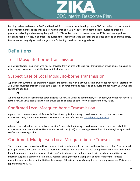

Building on lessons learned in 2016 and feedback from state and local health partners, CDC has revised this document to be more streamlined, added links to existing guidance on CDC's website, and updated critical guidance. Detailed guidance on issuing and removing designations for Zika active transmission (red) areas and Zika cautionary (yellow) areas has been provided. In addition, the guidance for identifying areas at risk for the purpose of blood and tissue safety is now more closely aligned with the guidance for issuing travel and testing guidance.

## <span id="page-3-0"></span>**Definitions**

#### <span id="page-3-1"></span>Local Mosquito-borne Transmission

Zika virus infection in a person who has not traveled from an area with Zika virus transmission or had sexual exposure or other known exposure to body fluids of an infected person.

## <span id="page-3-2"></span>Suspect Case of Local Mosquito-borne Transmission

A person with symptoms or preliminary test results compatible with Zika virus infection who does not have risk factors for Zika virus acquisition through travel, sexual contact, or other known exposure to body fluids and for whom Zika virus test results are pending.

OR

A blood donorwith initial donation screening positive for Zika virus and confirmatory test pending, who does not have risk factors for Zika virus acquisition through travel, sexual contact, or other known exposure to body fluids.

#### <span id="page-3-3"></span>Confirmed Local Mosquito-borne Transmission

A person who does not have risk factors for Zika virus acquisition through travel, sexual contact, or other known exposure to body fluids and who tests positive for Zika virus infection pe[r CDC laboratory guidance.](https://www.cdc.gov/zika/laboratories/lab-guidance.html)

OR

A blood donor who does not have risk factors for Zika acquisition through travel, sexual contact, or other body fluid exposure and who has a positive Zika virus nucleic acid test (NAT) on screening AND confirmation through an approved confirmatory test algorithm.

## <span id="page-3-4"></span>Confirmed, Multiperson Local Mosquito-borne Transmission

Three or more cases of confirmed local transmission in non-household members with onsets greater than 2 weeks apart (the approximate lifespan of an infected mosquito) and less than 45 days in an area of approximately 1-mile in diameter. Identification of overlapping movement within a 1-mile diameter of multiple people with locally acquired Zika virus infection suggests a common location (e.g., residential neighborhood, workplace, or other location) for infected mosquito exposure, because the lifetime flight range of the *Aedes aegypti* mosquito vector is approximately 150 meters (approximately 500 ft).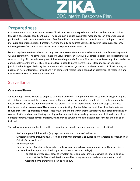

#### <span id="page-4-0"></span>**Preparedness**

CDC recommends that jurisdictions develop Zika virus action plans to guide preparedness and response activities through a phased, risk-based continuum. The continuum includes support for mosquito season preparedness and graduated action in response to detection of confirmed local mosquito-borne transmission and multiperson local mosquito-borne transmission, if present. Planning should also address activities to occur in subsequent seasons, following the confirmation of multiperson local mosquito-borne transmission.

Local mosquito-borne transmission can only occur when competent *Aedes* species mosquito populations are present within a community. The temperate climate of CONUS limits year-round Zika virus transmission in most locations; the seasonal timing of imported cases greatly influences the potential for local Zika virus transmission (e.g., imported cases during cooler months are less likely to lead to local mosquito-borne transmission). Mosquito season varies by jurisdiction but is typically during the summer months. However, year-round local transmission of Zika virus may be possible in warmer locations. Jurisdictions with competent vectors should conduct an assessment of vector risks and institute vector control activities as indicated.

#### <span id="page-4-1"></span>**Surveillance**

#### <span id="page-4-2"></span>**Case surveillance**

All health departments should be prepared to identify and investigate potential Zika cases in travelers, presumptive viremic blood donors, and their sexual contacts. These activities are important to mitigate risk to the community. Because clinicians are integral to the surveillance process, all health departments should take steps to increase healthcare provider awareness of Zika virus and ensure testing of potential cases. In addition, health departments should ensure that appropriate divisions, sections, or other units within their organizations have established lines of communication and are coordinating planning and response efforts, especially maternal and child health and birth defects programs. Vector control programs, which may exist within or outside health departments, should also be included.

The following information should be gathered as quickly as possible when a potential case is identified:

- Basic demographic information (e.g., age, sex, state, and county of residence)
- Clinical symptoms (including fever, rash, conjunctivitis, arthralgia, or evidence of neurologic disorder, such as Guillain-Barré syndrome)
- Illness onset date
- Exposure history (location of travel, dates of travel, partner's clinical information if sexual transmission is suspected, and receipt of any blood, organ, or tissues in previous 28 days)
	- o For each confirmed case, dates of symptom onset and exposure to areas with risk of Zika or sexual contacts at risk for Zika virus infection should be closely evaluated to determine whether local mosquito-borne transmission can be ruled out.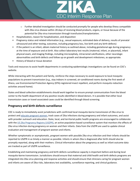

- $\circ$  Further detailed investigation should be conducted promptly for people who develop illness compatible with Zika virus disease within 28 days of receiving blood products, organs, or tissue because of the potential for Zika virus transmission through transfusion/transplantation.
- Hospitalization, reason for hospitalization, and disposition
- Pregnancy status and related information (e.g., sexual exposure, estimated date of delivery, results of prenatal ultrasound and other testing, outcomes, including pregnancy loss, live birth and any birth defects)
- If the patient is an infant, obtain maternal history as outlined above, including gestational age during pregnancy at the time of exposure and at birth. Also collect laboratory test results (maternal, infant, or placental), infant physical exam, and imaging findings, including microcephaly, intracranial calcifications, other neurologic abnormalities and birth defects and follow up on growth and development milestones, as appropriate.
- History of blood or tissue donation

Tools and resources to assist health departments in conducting epidemiologic investigations can be found on CDC's website.

While interacting with the patient and family, reinforce the steps necessary to avoid exposure to local mosquito populations to prevent transmission (e.g., stay indoors in screened, air-conditioned rooms during the first week of illness, use Environmental Protection Agency (EPA)-registered insect repellent, and perform mosquito reduction activities around home).

States and blood collection establishments should work together to ensure prompt communication from the blood center to the health department of any positive results identified in blood donors. It is possible that either local transmission cases or travel-associated cases could be identified through blood screening.

#### <span id="page-5-0"></span>**Pregnancy and birth defects surveillance**

CDC is ready to immediately assist jurisdictions with confirmed local mosquito-borne transmission of Zika virus to protect an[d educate pregnant women,](https://www.cdc.gov/zika/comm-resources/index.html) track cases of Zika infections during pregnancy and infant outcomes, and assist with provider outreach and education. State, local, and territorial public health programs are encouraged to collaborate with the [US Zika Pregnancy Registry \(USZPR\),](https://www.cdc.gov/zika/reporting/registry.html) an active population-based surveillance system that monitors the effects of Zika virus infection during pregnancy on women and their infants. Data from the USZPR are used to update clinical evaluation and management of pregnant women and infants.

Whether symptomatic or asymptomatic, pregnant women with possible Zika virus infection and their infants should be reported to USZPR in as timely a manner as possible. Infants in whom Zika is diagnosed after birth should also be promptly reported, along with their mothers. Clinical information about the pregnancy as well as infant outcome data are tracked as part of USZPR surveillance.

Establishing and maintaining pregnancy and birth defects surveillance capacity is important before and during local mosquito-borne transmission. Jurisdictions should ensure that maternal and child health and birth defects programs are integrated into Zika virus planning and response activities and should ensure that clinicians caring for pregnant women and infants are aware of Zika risks, laboratory test availability, surveillance reporting, and clinical guidance.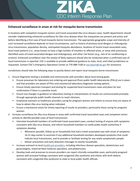

#### <span id="page-6-0"></span>**Enhanced surveillance in areas at risk for mosquito-borne transmission**

In locations with competent mosquito vectors and travel-associated Zika virus disease cases, health departments should consider implementing enhanced surveillance for Zika virus disease when the mosquitoes are present and active and before identifying a first case of local mosquito-borne transmission. The appropriate geographic scope and intensity of such increased surveillance depends on local circumstances, such as history of previous local dengue or chikungunya virus transmission, population density, anticipated mosquito abundance, locations of recent travel-associated cases, local travel patterns (i.e., areas known to have a high number of travelers to affected areas, or areas with previously identified cases of travel-associated dengue and chikungunya), and other risk factors (e.g., lack of air conditioning or screens). Enhanced surveillance near the area(s) of likely exposure should also be conducted when a confirmed case of local transmission is reported. CDC is available to provide additional guidance to state, local, and tribal jurisdictions as requested. Contact CDC's Emergency Operations Center at 770-488-7100 o[r eocreport@cdc.gov](mailto:eocreport@cdc.gov) for assistance.

Jurisdictions should take the following steps to quickly detect and report local mosquito-borne transmission:

- 1. Ensure diagnostic testing is available and communicate with providers about local testing goals.
	- Ensure processes for laboratory test ordering and approval (from public health laboratories [PHLs]) are in place and that providers are aware of PHLs and commercial laboratory diagnostic testing options.
	- Ensure timely specimen transport and testing for suspected local transmission cases and plans for test confirmation if there is a positive result.
	- Ensure any changes in guidance on laboratory testing or interpretation of results are communicated promptly through appropriate public health channels to reach clinicians.
	- Emphasize outreach to healthcare providers caring for pregnant women and infants to ensure they are aware of how to obtain Zika virus testing when indicated.
	- Ensure a mechanism exists for timely reporting of results to providers, particularly those caring for pregnant women.
- 2. Increase surveillance for Zika virus disease in areas with confirmed travel-associated cases and competent vector activity to identify possible cases of local transmission.
	- Interview household members of confirmed travel-associated cases, conduct testing of anyone with symptoms consistent with Zika virus disease, and inform household members to notify public health authorities if symptoms develop.
		- o Whenever possible, follow up on households that had a travel-associated case with onset of symptoms 14-21 days earlier to ascertain if any additional household members developed symptoms that could indicate local transmission, and to provide or facilitate testing for any newly symptomatic people.
		- o Deliver prevention and early detection messages to nearby households.
	- Increase outreach to local [healthcare providers,](https://www.cdc.gov/zika/hc-providers/index.html) including infectious disease specialists, obstetricians and gynecologists, maternal-fetal medicine specialists, and pediatricians.
	- Develop tools and processes to ensure providers can report clinically compatible cases, particularly pregnant women with prenatal findings consistent with congenital Zika syndrome and infants with birth defects consistent with congenital Zika syndrome to state or local public health officials.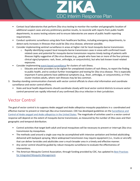

- Contact local laboratories that perform Zika virus testing to monitor the number and geographic location of additional suspect cases and any preliminary positive results, to reconcile with reports from public health departments, to assess testing volume and to ensure laboratories are aware of public health reporting requirements.
- Conduct syndromic surveillance using data from healthcare facilities, including emergency departments, to detect early increases in illnesses that could be Zika virus disease, wherever possible.
- Consider implementing sentinel surveillance in areas at higher risk for local mosquito-borne transmission.
	- Rapidly identifying suspect local mosquito-borne transmission cases in areas with confirmed travelrelated cases and potential for mosquito-borne transmission requires timely testing of patients with illnesses highly suggestive of Zika virus disease (e.g., people who have two or more of the four primary clinical signs/symptoms: rash, fever, arthralgia, or conjunctivitis), but who lack known travel-related exposures.
- Consider implementing [event-based surveillance](https://www.cdc.gov/globalhealth/healthprotection/gddopscenter/how.html) for clusters of rash illness.
	- $\circ$  Educate and enlist providers to be vigilant for unexplained clusters of rash illness, to report the finding to public health, and to conduct further investigation and testing for Zika virus disease. This is especially important if some patients have additional symptoms (e.g., fever, arthralgia, or conjunctivitis), or if the cluster involves adults, where rash illnesses may be less common.
- 3. Develop standing communication channels with vector control officials to share vital information and coordinate surveillance and vector control efforts.
	- State and local health departments should coordinate closely with local vector control districts to ensure vector control personnel are rapidly informed of any confirmed Zika virus infection in their jurisdiction.

#### <span id="page-7-0"></span>Vector Control

The goal of vector control is to suppress *Aedes aegypti* and *Aedes albopictus* mosquito populations in a coordinated and effective manner to prevent or interrupt Zika virus transmission. CDC has developed guidelines on the [Surveillance and](https://www.cdc.gov/chikungunya/pdfs/surveillance-and-control-of-aedes-aegypti-and-aedes-albopictus-us.pdf)  Control of *Aedes aegypti* and *Aedes albopictus* [in the United States.](https://www.cdc.gov/chikungunya/pdfs/surveillance-and-control-of-aedes-aegypti-and-aedes-albopictus-us.pdf) The magnitude of activities used in a vector control response will depend on the extent of mosquito-borne transmission, as measured by the number of Zika cases and their geographic and temporal distribution.

- Control activities that target both adult and larval mosquitoes will be necessary to prevent or interrupt Zika virus transmission by mosquitoes.
- The methods used around a single case may be accomplished with intensive sanitation and limited adulticiding delivered with backpack spraying. More widespread transmission may require equipment (i.e., trucks or aircraft) that can deliver larvicides and adulticides over a much broader area in a timely and effective manner.
- Any vector control should be guided by robust mosquito surveillance to evaluate the effectiveness of interventions.
- The American Mosquito Control Association, through funding provided by CDC, has updated its [Best Practices](https://amca.memberclicks.net/assets/HomePage/amca%20guidelines%20final_pdf.pdf)  [for Integrated Mosquito Management.](https://amca.memberclicks.net/assets/HomePage/amca%20guidelines%20final_pdf.pdf)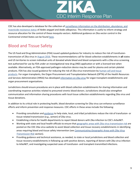

CDC has also developed a database for the collection of [surveillance information on the distribution, abundance, and](https://www.cdc.gov/zika/pdfs/guidelines-for-aedes-surveillance-and-insecticide-resistance-testing.pdf)  [insecticide resistance status](https://www.cdc.gov/zika/pdfs/guidelines-for-aedes-surveillance-and-insecticide-resistance-testing.pdf) of *Aedes aegypti* and *Aedes albopictus*. This information is useful to inform strategy and resource allocation for the control of these mosquito vectors. Additional guidance on Zika vector control in the Continental United States can be found [here.](https://www.cdc.gov/zika/public-health-partners/vector-control-us.html)

## <span id="page-8-0"></span>Blood and Tissue Safety

The US Food and Drug Administration (FDA) issued updated guidance for industry to reduce the risk of transfusiontransmission of Zika virus in [August 2016.](http://www.fda.gov/downloads/BiologicsBloodVaccines/GuidanceComplianceRegulatoryInformation/Guidances/Blood/UCM518213.pdf) These recommendations call for blood collection establishments in **all** states and US territories to screen individual units of donated whole blood and blood components with a Zika virus screening test authorized for use by FDA under an investigational new drug (IND) application or with a licensed test when available. Alternatively, an FDA-approved pathogen-reduction device may be used for plasma and certain platelet products. FDA has also issued guidance for reducing the risk of Zika virus transmission b[y human cell and tissue](https://www.fda.gov/downloads/BiologicsBloodVaccines/GuidanceComplianceRegulatoryInformation/Guidances/Tissue/UCM488582.pdf)  [products.](https://www.fda.gov/downloads/BiologicsBloodVaccines/GuidanceComplianceRegulatoryInformation/Guidances/Tissue/UCM488582.pdf) For organ transplants, the Organ Procurement and Transplantation Network (OPTN) of the Health Resources and Services Administration (HRSA) has developed [information on Zika virus](https://optn.transplant.hrsa.gov/news/guidance-on-zika-virus/) for organ transplant establishments and organ procurement organizations.

Jurisdictions should ensure procedures are in place with blood collection establishments for sharing information and coordinating response activities related to presumed viremic blood donors. Jurisdictions should also strengthen communication and information sharing procedures with local tissue collection establishments regarding Zika virus and tissue donations.

In addition to its critical role in protecting health, blood donation screening for Zika virus can enhance surveillance efforts and inform prevention and response measures. CDC efforts in these areas include the following:

- Providing consultation and [guidance](https://www.cdc.gov/zika/transmission/blood-transfusion.html) to help state, local, and tribal jurisdictions reduce the risk of transfusion- or tissue-related transmission (e.g., semen) of Zika virus.
- Establishing criteria for health departments to report blood donors with Zika infection to CDC's ArboNET.
- Working with state and local health officials to ensure that [geographic areas with Zika virus transmission](https://www.cdc.gov/zika/areasatrisk.html) risk are posted on the CDC Zika virus website to assist blood collection and tissue recovery establishments in identifying areas requiring blood and tissue safety intervention (see *[Communicating Geographic Areas with Zika Virus](#page-12-0)  [Transmission Risk](#page-12-0)* section).
- Providing guidance and technical assistance, as needed, to state or local jurisdictions and blood collection and tissue recovery establishments in following up with positive donors, reporting of donors with Zika virus infection to ArboNET, and investigating suspected cases of transfusion- and transplant-transmitted infections.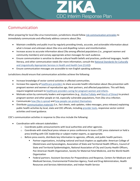

#### <span id="page-9-0"></span>Communication

When preparing for local Zika virus transmission, jurisdictions should follow [risk communication principles](https://emergency.cdc.gov/cerc/index.asp) to immediately communicate and effectively address concerns about Zika.

- Maintain credibility and public trust by regularly providing timely, accurate, and actionable information about what is known and unknown about Zika virus and dispelling rumors and misinformation.
- Increase access to accurate information about Zika among affected populations (i.e., pregnant women and community members) and convey appropriate action messages for each audience.
- Ensure communication is sensitive to diverse cultural health beliefs and practices, preferred languages, health literacy, and other communication needs (for more information, consult the [National Standards for Culturally](https://minorityhealth.hhs.gov/omh/browse.aspx?lvl=2&lvlid=53)  [and Linguistically Appropriate Services in Health and Health Care \[CLAS\]\)](https://minorityhealth.hhs.gov/omh/browse.aspx?lvl=2&lvlid=53).
- Ensure communication messages are accessible to non-English speaking audiences.

Jurisdictions should ensure that communication activities achieve the following:

- Increase knowledge of vector control activities in affected communities.
- Increase the capacity o[f healthcare providers](https://www.cdc.gov/zika/hc-providers/index.html) to share accurate health information about Zika prevention with pregnant women and women of reproductive age, their partners, and affected populations. This will likely require targeted outreach to [healthcare providers caring for pregnant women and infants.](https://www.zikacareconnect.org/)
- Motivate action by community leaders and organizations (e.g., [MotherToBaby](https://mothertobaby.org/) and [March of Dimes\)](http://www.marchofdimes.org/) to protect pregnant women and other people at risk, especially vulnerable populations, from Zika virus infection.
- Communicate [how Zika is spread](https://www.cdc.gov/zika/transmission/index.html) and [how people can protect themselves.](https://www.cdc.gov/zika/prevention/index.html)
- Distribute [communication materials](https://www.cdc.gov/zika/comm-resources/index.html) (i.e., fact sheets, web updates, video messages, press releases) explaining public health activities by local, state and CDC officials, includin[g provider tools,](https://www.cdc.gov/zika/fs-posters/index.html#healthcare) responsive vector control activities and travel guidance.

CDC's communication activities in response to Zika virus include the following:

- Coordination with relevant stakeholders
	- o Coordinate public announcements with local authorities and other agencies.
	- o Coordinate with state/local press release or press conference to issue a CDC press statement or hold a press briefing with CDC leadership or subject matter experts, as appropriate.
	- $\circ$  Before press events, distribute key information to agencies, officials, and public health partners.
		- Partner organizations, including national and local chapters as applicable: American College of Obstetricians and Gynecologists, Association of State and Territorial Health Officers, Council of State and Territorial Epidemiologists, National Association of City and County Health Officers, Pan American Health Organization, Society for Maternal-Fetal Medicine, and the World Health Organization
		- **Federal partners: Assistant Secretary for Preparedness and Response, Centers for Medicare and** Medicaid Services, Environmental Protection Agency, Food and Drug Administration, Health Resources and Services Administration, and Indian Health Service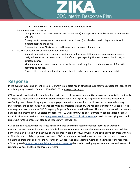

- **EXECO** Congressional staff and elected officials at multiple levels
- Communication of messages
	- o As appropriate, issue press release/media statement(s) and support local and state Public Information Officers.
	- o Convey health messages and resources to professionals (i.e., clinicians, health departments, and laboratories) and the public.
	- $\circ$  Communicate how Zika is spread and how people can protect themselves.
- Ensuring effectiveness of communication activities
	- o Support state and local responders in adapting and tailoring CDC-produced information products designed to ensure consistency and clarity of messages regarding Zika, vector control activities, and clinical guidance.
	- $\circ$  Monitor and assess news media, social media, and public inquiries to update or correct information delivered as needed.
	- $\circ$  Engage with relevant target audiences regularly to update and improve messaging and uptake.

#### <span id="page-10-0"></span>**Response**

In the event of suspected or confirmed local transmission, state health officials should notify designated officials and the CDC Emergency Operation Center at 770-488-7100 or [eocreport@cdc.gov.](mailto:eocreport@cdc.gov)

CDC will work closely with the state health department to balance consistency in Zika virus response activities nationally with specific requirements of individual states and localities. CDC will provide support and assistance as needed in confirming cases, determining appropriate geographic areas for interventions, rapidly conducting an epidemiologic investigation, and enhancing surveillance activities, entomologic evaluation, and risk communication. CDC can provide on-the-ground assistance via a CDC Emergency Response Team, as described below. Although blood donation screening has been implemented in all US states and territories, CDC will continue to post information about geographic areas with Zika virus transmission risk on a [designated section of the CDC Zika virus website](https://www.cdc.gov/zika/areasatrisk.html) to assist in identifying areas with risk of Zika for the purposes of blood and tissue safety intervention.

CDC continually reviews data and issues clinical guidance and testing recommendations focused on women of reproductive age, pregnant women, and infants. Pregnant women and women planning a pregnancy, as well as infants born to women infected with Zika virus during pregnancy, are a priority. For women and couples living in areas with risk of Zika who wish to delay or prevent pregnancy, CDC recommends that healthcare providers discuss how to prevent unintended pregnancy and offer the full range of FDA-approved contraceptive methods. In all stages of the response, CDC will provid[e educational materials and targeted messages](https://www.cdc.gov/zika/pregnancy/index.html) designed to reach pregnant women, men and women of reproductive age, and their healthcare providers.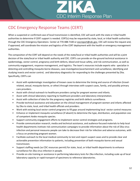

#### <span id="page-11-0"></span>CDC Emergency Response Teams (CERT)

When a suspected or confirmed case of local transmission is identified, CDC will work with the state or tribal health authorities to determine if CERT support is needed. CERT(s) may be requested by state, local, or tribal health authorities through the CDC Emergency Operations Center at 770-488-7100 or [eocreport@cdc.gov.](mailto:eocreport@cdc.gov.) CDC will review the request and, if approved, will coordinate the mission and logistics of the CERT deployment with the health or emergency management authorities.

The composition of the CERT will depend on the needs of the state/local or tribal health authorities and will be a joint decision of the state/local or tribal health authority and CDC. CERTs can provide on-the-ground technical assistance in epidemiology, vector control, pregnancy and birth defects, blood and tissue safety, and risk communication, as well as community engagement, response management, and logistics. The team's resources include experts who specialize in detecting and controlling mosquito-borne diseases, case-investigation/ascertainment and surveillance, identifying and studying insects and vector control, and laboratory diagnostics for responding to the challenges presented by Zika. Specifically, CERTs can

- Assist with epidemiologic investigation of known cases to determine the timing and source of infection (travelrelated, sexual, mosquito-borne, or other) through interviews with suspect cases, family, and possibly primary care providers.
- Assist with clinical outreach to healthcare providers caring for pregnant women and infants.
- Assist with clinical laboratory reporting to healthcare providers and laboratory interpretation.
- Assist with collection of data for the pregnancy registries and birth defects surveillance.
- Provide technical assistance and education on the clinical management of pregnant women and infants affected by Zika to state, local, and tribal health officials and providers.
- Work with existing local vector control programs to fill gaps around implementing local vector control measures
- Enhance or implement mosquito surveillance (if absent) to determine the type, distribution, and population size of competent *Aedes* mosquito species.
- Support community engagement efforts to implement vector control strategies and programs.
- Provide communication research, media and technical assistance, and audience-focused materials to help local health departments institute risk communication campaigns to provide information about the risk of Zika virus infection and personal measures people can take to decrease their risk for infection and adverse outcomes, with a focus on protecting pregnant women.
- Facilitate outreach to the local medical community to test and report suspect cases and to provide clear and actionable prevention information to patients, including prevention of both mosquito-borne and sexual transmission.
- Support staffing needs (as CDC resources permit) for state, local, or tribal health departments to enhance surveillance for Zika virus infection in people.
- Provide on-site training or assistance in performing laboratory tests for Zika infection, including scale up of local laboratory capacity or rapid transport of specimens to reference laboratories.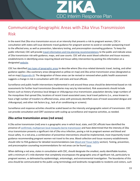

# <span id="page-12-0"></span>Communicating Geographic Areas with Zika Virus Transmission Risk

In the event that Zika virus transmission occurs at an intensity that presents a risk to pregnant women, CDC in consultation with states will issue domestic travel guidance for pregnant women to avoid or consider postponing travel to the affected area, as well as prevention, laboratory testing, and preconception counseling guidance. To keep the public informed, CDC will provid[e travel information and trip planning recommendations](https://www.cdc.gov/zika/geo/index.html) to the public and indicate areas of Zika transmission risk with guidance, maps, and case counts. CDC will also assist blood collection and tissue recovery establishments in identifying areas requiring blood and tissue safety intervention by posting this information on a designated [website.](https://www.cdc.gov/zika/areasatrisk.html)

CDC has identified [two types of geographic areas](https://www.cdc.gov/zika/geo/domestic-guidance.html) to describe where Zika virus-related domestic travel, testing, and other guidance applies: Zika cautionary areas (designated as yellow on map) and Zika active transmission areas (designated as red on map) [\(Appendix A\)](#page-20-0). The designation of these areas can be revised or removed when public health assessment suggests a change in risk in consultation with CDC and state and local officials.

Surveillance and public health interventions implemented in and around these areas should be determined based on risk assessments for further local transmission (boundaries may vary by intervention). Risk assessments should include factors such as history of previous local dengue or chikungunya virus transmission; population density; large numbers of the mosquitoes that spread Zika; locations of recent travel-associated cases; local travel patterns (i.e., areas known to have a high number of travelers to affected areas, areas with previously identified cases of travel-associated dengue and chikungunya); and other risk factors (e.g., lack of air conditioning or screens).

Surveillance and response activities should be scaled based on the intensity and geographic extent of transmission. CDC can provide consultation and CERT assistance with scaling up surveillance and response activities, as needed.

#### <span id="page-12-1"></span>**Zika active transmission areas (red areas)**

A Zika active transmission (red) area is a geographic area in which local, state, and CDC officials have identified the presence of confirmed, [multiperson local mosquito-borne transmission](#page-16-0) and have determined that the intensity of Zika virus transmission presents a significant risk of Zika virus infection, posing a risk to pregnant women and blood and tissue safety. In a red area, a combination of preventive interventions should be implemented, most importantly travel guidance recommending pregnant women not travel to the area. Blood collection and tissue recovery establishments should refer to FDA guidance for detailed recommendations (see *[Blood and Tissue Safety](#page-8-0)* section). Testing, prevention, and preconception counseling recommendations for red areas can be found [here.](https://www.cdc.gov/zika/geo/domestic-guidance.html)

When defining a red area, states in consultation with CDC, should designate the smallest, easily identifiable location, with a minimum of 1-mile diameter that completely encompasses the geographic area of significant risk, particularly to pregnant women, as delineated by epidemiologic, entomologic, and environmental investigation. The boundaries of this area should be communicated to the public using terminology and landmarks recognizable to residents and visitors, such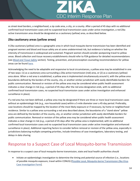

as street-level borders, a neighborhood, a zip code area, a city, or a county. After a period of 45 days with no additional confirmed local transmission cases and no suspected local transmission cases under active investigation, a red Zika active transmission area should be designated as a cautionary (yellow) area, as described below.

#### <span id="page-13-0"></span>**Zika cautionary areas (yellow areas)**

A Zika cautionary (yellow) area is a geographic area in which local mosquito-borne transmission has been identified and pregnant women and blood and tissue safety are at some undetermined risk, but evidence is lacking on whether the intensity of transmission is widespread and sustained. Pregnant women should consider postponing travel to yellow areas. Blood collection and tissue recovery establishments should refer to FDA guidance for detailed recommendations (see *[Blood and Tissue Safety](#page-8-0)* section). Testing, prevention, and preconception counseling recommendations for yellow areas can be foun[d here.](https://www.cdc.gov/zika/geo/domestic-guidance.html)

Acknowledging the need to be adaptable and responsive to local circumstances, a yellow area may be established in one of two ways: (1) as a cautionary area surrounding a Zika active transmission (red) area, or (2) as a cautionary (yellow) area alone. When a red area is established, a yellow area is implemented simultaneously around it, with the yellow area boundaries defined by the borders of the county, city, or another similar jurisdiction with easily identifiable borders for public communication. Removal or revision of the yellow area may be considered when public health assessment indicates a clear change in risk (e.g., a period of 45 days after the red area designation ends, with no additional confirmed local transmission cases, no suspected local transmission cases under active investigation and enhanced surveillance in place).

If a red area has not been defined, a yellow area may be designated if there are three or more local transmission cases without an epidemiologic link (e.g., non-household cases) within a 5-mile diameter over a 45-day period. Preferably, case locations should be mapped by the location of the most likely exposure or if necessary, by home or neighborhood residence. Similar to a yellow area surrounding a red area described above, the boundaries of a "stand-alone" yellow area are defined by the borders of the county, city, or another similar jurisdiction with easily identifiable borders for public communication. Removal or revision of the yellow area may be considered when public health assessment indicates a clear change in risk (e.g., a period of 45 days after the yellow area is implemented, with no additional confirmed local transmission cases and no suspected local transmission cases under active investigation and enhanced surveillance in place). Additional reporting factors to consider before removal or revision of the yellow area, especially in jurisdictions balancing multiple competing priorities, include timeliness of case investigations, laboratory testing, and delays in data sharing.

#### <span id="page-13-1"></span>Response to a Suspect Case of Local Mosquito-borne Transmission

In response to a suspect case of local mosquito-borne transmission, state and local health authorities should

 Initiate an epidemiologic investigation to determine the timing and potential source of infection (i.e., locations of possible mosquito exposure, travel within CONUS) [\[Possible Local, Mosquito-borne](https://www.cdc.gov/zika/public-health-partners/transmission-investigation-form.docx) Transmission Zika Virus [Case Investigation Form\]](https://www.cdc.gov/zika/public-health-partners/transmission-investigation-form.docx).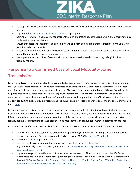

- Be prepared to share vital information and coordinate surveillance and vector control efforts with vector control officials.
- Implemen[t local vector surveillance and control,](https://www.cdc.gov/zika/vector/index.html) as appropriate.
- Communicate with clinicians caring for pregnant women and infants about the risks of Zika and disseminate CDC guidance for these populations.
- Ensure that state and local maternal and child health and birth defects programs are integrated into Zika virus planning and response activities.
- If applicable, coordinate with blood collection establishments to begin traceback and other follow-up activities related to presumptive viremic blood donors.
- Verify procedures and points of contact with local tissue collection establishments regarding Zika virus and tissue donations.

# <span id="page-14-0"></span>Response to a Confirmed Case of Local Mosquito-borne Transmission

Local transmission by mosquitoes should be assumed whenever a case is confirmed and other routes of exposure (e.g., travel, sexual contact, transfusion) have been evaluated and likely ruled out. Under these circumstances, state, local, and tribal jurisdictions should implement surveillance for Zika virus disease around the home of the confirmed, locally acquired case and any other likely locations of exposure identified through the case investigation. The principal objectives of this surveillance should be to define the frequency and geographic extent of local transmission. Tools to assist in conducting epidemiologic investigations and surveillance in households, workplaces, and the community can be found [here.](https://www.cdc.gov/zika/public-health-partners/epidemiologic-investigation-toolkit.html)

Because dengue and chikungunya virus infections share a similar geographic distribution with anticipated Zika virus distribution and acute symptoms of infection with all three viruses are similar, patients under investigation for Zika virus infection should also be evaluated and managed for possible dengue or chikungunya virus infection. It is important to identify dengue virus infections because proper clinical management of dengue can improve outcomes for patients.

In response to a confirmed case of local mosquito-borne transmission, state and local health authorities should

- Notify CDC of the investigation and provide basic epidemiologic information regarding the confirmed case to ensure coordination of efforts between the jurisdiction and CDC. [\(Zika Line List Template\)](https://www.cdc.gov/zika/public-health-partners/line-list.xlsx)
- Determine i[f CERT](#page-11-0) support is needed.
- Identify the physical location of the case patient's most likely place(s) of exposure (e.g., home, work, other US location, if recent travel). (Possible Local Mosquito-borne [Transmission Zika Virus](https://www.cdc.gov/zika/public-health-partners/transmission-investigation-form.docx)  [Case Investigation Form\)](https://www.cdc.gov/zika/public-health-partners/transmission-investigation-form.docx)
- Implement targeted surveillance activity around suspected area(s) of local transmission to identify if other recent cases are from same/nearby mosquito pool; these activities can help quickly confirm local transmission. (link t[o CDC Sample Protocol for Community Survey,](https://www.cdc.gov/zika/public-health-partners/community-survey-protocol.docx) [Household Member Survey Form,](https://www.cdc.gov/zika/public-health-partners/household-survey-form.docx) [Workplace Survey Form,](https://www.cdc.gov/zika/public-health-partners/workplace-survey-form.docx) [Household or Workplace Visit Log,](https://www.cdc.gov/zika/public-health-partners/visit-log.xlsx) [Zika Line List Template\)](https://www.cdc.gov/zika/public-health-partners/line-list.xlsx)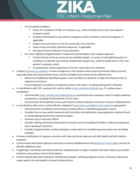

- o For household members:
	- Assess for symptoms of Zika virus disease (e.g., within 8 weeks prior to the case patient's symptom onset).
	- Evaluate relationship to case patient, pregnancy status and plans to become pregnant, if applicable.
	- Collect urine and serum to test for recent Zika virus infection.
	- Assess travel and other potential exposures, if applicable.
	- Ask about history of blood or tissue donation.
- o For close neighbors/neighborhood in suspected area/workplace with outdoor exposure
	- Conduct house-to-house survey of any available people, or survey at local gathering place or workplace, to identify any recently symptomatic people (e.g., within 8 weeks prior to the case patient's symptom onset)
	- If symptomatic, obtain specimens to test for recent Zika virus infection.
- Conduct [enhanced surveillance](#page-6-0) in areas contiguous to the location where local transmission likely occurred, especially those with documented vector activity and high travel volume to the affected area.
	- o Determine if additional identified suspect cases are likely to represent a single transmission chain or separate occurrences.
	- $\circ$  Ensure adequate surveillance of pregnant women and infants, including testing when indicated.
- In coordination with CDC, evaluate the need to define a [Zika cautionary \(yellow\) area.](#page-13-0) If a yellow area is established:
	- $\circ$  Communicate [travel, testing, and related guidance](https://www.cdc.gov/zika/geo/domestic-guidance.html) associated with cautionary areas to target audiences and partners, including the boundaries of such areas.
	- $\circ$  Communicate the location(s) of any such area(s) to blood collection and tissue recovery establishments.
- In coordination with vector control officials, implement [local vector surveillance and control](https://www.cdc.gov/zika/vector/index.html) as appropriate.
	- $\circ$  Intensify vector surveillance and resistance testing efforts in identified geographic area(s).
	- $\circ$  Consider focal or area-wide treatments with larvicides and adulticides using application methods (truck or aerial) appropriate for the treatment area(s).
	- o Intensify source reduction efforts.
	- o Consider adding community-based adult mosquito control consisting of outdoor residual spraying and space spraying if necessary.
	- $\circ$  Consider targeted indoor residual spraying in areas where air conditioning and screens are not widely available.
- Increase coordination of response activities with state and local maternal and child health and birth defects programs.
- Communicate with blood collection and tissue recovery establishments (see *[Blood and Tissue Safety](#page-8-0)* section) to identify additional cases.
- If applicable, coordinate with blood collection establishments to begin traceback and other follow-up activities related to presumptive viremic blood donors.
- Further expand laboratory testing for symptomatic people, including pregnant women, and assess laboratory surge capacity for anticipated increased testing volume.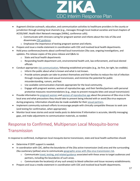

- Augment clinician outreach, education, and communication activities to healthcare providers in the county or jurisdiction through existing local channels (e.g., messages through local medical societies and local chapters of ACOG/AAP, Health Alert Network messages [HANs], conference calls).
	- $\circ$  Communicate with clinicians caring for pregnant women and infants about the risks of Zika and disseminate [CDC guidance.](https://www.cdc.gov/zika/hc-providers/index.html)
	- o Emphasize the importance of testing pregnant women and infants.
- Prepare and issue a media statement in coordination with CDC and involved local health departments.
- Hold press conferences/events about confirmed local transmission Zika case, ongoing investigations, and updates. Pre-release copies of the press release and Q&As to
	- o State and local health departments
	- $\circ$  Responding health department unit, environmental health unit, law enforcement, and local elected officials
- Conduct appropriate [risk communication,](#page-9-0) following established principles (e.g., be first, be right, be credible).
	- o Inform the public about what is known and what is not known.
	- $\circ$  Provide actions people can take to protect themselves and their families to reduce the risk of infection through mosquito bites and sexual transmission, and minimize the potential for public misunderstanding, rumors, and fear.
	- $\circ$  Use available communication channels appropriate for the local community.
	- $\circ$  Engage with pregnant women, women of reproductive age, and their families/partners with personal protective measures recommendations (e.g., steps to prevent mosquito bites and sexual transmission)
- Provide information to [pregnant women](https://www.cdc.gov/zika/pregnancy/protect-yourself.html) and [women of reproductive age](https://www.cdc.gov/zika/pregnancy/women-and-their-partners.html) about the presence of Zika virus in the local area and what precautions they should take to prevent being infected with or avoid Zika virus exposure during pregnancy. Information should also be made available for thei[r sexual partners.](https://www.cdc.gov/zika/prevention/sexual-transmission-prevention.html)
- Implement community outreach efforts to encourage people with clinically compatible illnesses to seek care (and testing for confirmation, when appropriate).
- Monitor local news stories and social media posts to determine if information is accurate, identify messaging gaps, and make adjustments to communication materials, as needed.

# <span id="page-16-0"></span>Response to Confirmed, Multiperson Local Mosquito-borne Transmission

In response to confirmed, multiperson local mosquito-borne transmission, state and local health authorities should

- Determine if CERT support is needed.
- In coordination with CDC, define the boundaries of the Zika active transmission (red) area and the surrounding Zika cautionary (yellow) area to communicate [geographic areas with Zika virus transmission risk.](#page-12-0)
	- o Communicate [travel, testing, and related guidance](https://www.cdc.gov/zika/geo/domestic-guidance.html) associated with these areas to target audiences and partners, including the boundaries of such areas.
	- $\circ$  Communicate the location(s) of any such area(s) to blood collection and tissue recovery establishments.
- Prepare and issue a media statement in coordination with CDC and involved local health departments.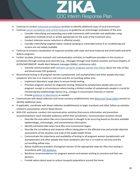

- Continue to conduct enhanced [surveillance](#page-6-0) activities to identify additional cases of local transmission.
- Continue [vector surveillance and control measures](#page-7-0) as guided by an entomologic evaluation of the area.
	- $\circ$  Consider intensifying and expanding area-wide treatments with larvicides and adulticides using application methods (truck or aerial) appropriate for the scale of the treatment area.
	- o Conduct intensive source reduction in affected area(s).
	- $\circ$  Consider intensifying targeted indoor residual spraying to vulnerable homes if air conditioning and screens are not widely available.
- Continue to enhance coordination of response activities with state and local maternal and child health and birth defects programs.
- Further escalate clinician outreach and communication activities to healthcare providers in the county or jurisdiction through existing local channels (e.g., messages through local medical societies and local chapters of ACOG/AAP/AMCHP, Health Alert Network messages [HANs], conference calls).
	- o Intensify communication with [clinicians caring for pregnant women and infants](http://www.zikacareconnect.org/) about the risks of Zika and disseminate CDC guidance.
- Recommend testing to all pregnant women (symptomatic and asymptomatic) and other people who have symptoms who live in or travel to a red area and the surrounding yellow area.
	- o Implement laboratory surge plans to ensure timely testing.
	- $\circ$  Prioritize pregnant women for diagnostic testing, followed by symptomatic people who are not pregnant, except in circumstances where testing a limited number of symptomatic people is crucial for monitoring key epidemiologic factors (e.g., changes in transmission intensity or extent).
	- o Provid[e guidance to laboratories](https://www.cdc.gov/zika/laboratories/index.html) as needed.
- Communicate with blood collection and tissue recovery establishments (see *[Blood and Tissue Safety](#page-8-0)* section) to identify additional cases.
- If applicable, coordinate with blood collection establishments to begin traceback and other follow-up activities related to presumptive viremic blood donors.
- With CDC assistance, conduct risk communication activities that ensure information and prevention recommendations reach intended audiences within their jurisdictions. Communication activities should
	- o Describe the area where Zika virus transmission is thought to be occurring based on the best available epidemiologic, entomologic, and environmental information.
	- o Identify estimated date when local Zika virus transmission began.
	- o Describe the surveillance and response efforts taking place in the affected area and provide objective assessments of the situation and scale of the public health threat.
	- $\circ$  Communicate the importance and availability of testing to all pregnant women (symptomatic and asymptomatic) and other people who have symptoms who live in or travel to red area and the surrounding yellow area.
	- $\circ$  Advise healthcare providers of pregnant women of the appropriate steps for Zika virus testing in accordance with [CDC guidance.](https://www.cdc.gov/zika/hc-providers/pregnant-woman.html)
	- $\circ$  Reinforce recommendations for pregnant women and women wishing to conceive and their sex partners.
	- $\circ$  Provide advice about ways to reduce mosquito populations around the home.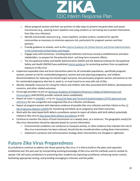

- $\circ$  Advise pregnant women and their sex partners to take steps to prevent mosquito bites and sexual transmission (e.g., wearing insect repellent and using condoms or not having sex to protect themselves from Zika virus infection).
- $\circ$  Identify and provide resources (e.g., insect repellent, window screens, condoms) for specific communities as necessary to minimize exposure risk, particularly for pregnant women and their partners.
- o Provide guidance to schools, such as the [Interim Guidance for School District and School Administrators](https://www.cdc.gov/zika/schools.html)  [in the Continental United States and Hawaii.](https://www.cdc.gov/zika/schools.html)
- o Engage early with businesses, including blood collection and tissue recovery establishments and labor stakeholders, to prepare for the potential short- and long-term economic effects.
- o The Occupational Safety and Health Administration (OSHA) and the National Institute for Occupational Safety and Health (NIOSH) have published [interim guidance](https://www.osha.gov/zika/index.html) for protecting workers from occupational exposure to Zika virus
- Implement expanded state and local intervention plans for all vulnerable populations, specifically pregnant women, women at risk for unintended pregnancy, women and men planning pregnancy, and children. Recommendations for reducing risk should target everyone, but particularly pregnant women and women at risk for unintended pregnancy who live in, work in, or must travel to an area with risk of Zika.
- Identify statewide resources for caring for infants and children with Zika-associated birth defects, developmental concerns, and other related outcomes.
- Encourage providers to join an [American Academy of Pediatrics](https://www.aap.org/en-us/Pages/Default.aspx)[/American College of Obstetricians and](http://www.acog.org/)  [Gynecologists](http://www.acog.org/) (AAP/ACOG) provider network (when established).
- Report all cases to [ArboNET,](https://www.cdc.gov/westnile/resourcepages/survresources.html) using th[e Council of State and Territorial Epidemiologists \(CSTE\) approved case](https://wwwn.cdc.gov/nndss/conditions/zika/case-definition/2016/06/)  [definitions](https://wwwn.cdc.gov/nndss/conditions/zika/case-definition/2016/06/) for non-congenital and congenital Zika virus infection and disease.
- Report all pregnant women with laboratory evidence of possible Zika virus infection and their infants to th[e US](https://www.cdc.gov/zika/reporting/registry.html)  [Zika Pregnancy Registry \(USZPR\)](https://www.cdc.gov/zika/reporting/registry.html) for monitoring and follow up on pregnancy and infant outcomes.
- Work with the state-based birth defects surveillance system to report all infants with birth defects potentially related to Zika virus t[o Zika Active Birth Defects Surveillance](https://www.cdc.gov/zika/reporting/birth-defects.html) at CDC.
- Continue to monitor the status of local transmission on a weekly basis, at a minimum. The geographic area(s) for Zika virus intervention should be adjusted based on current information.
	- $\circ$  Environmental conditions not conducive to mosquito activity, or other evidence that indicates the risk of Zika virus transmission has been reduced, should also be considered when scaling down interventions.
	- $\circ$  Implement a protocol and communication strategy when interventions are changed or rightsized.

## <span id="page-18-0"></span>**Future Zika Virus Preparedness**

As jurisdictions continue to address the threat posed by Zika virus, it is vital to build on the plans and capacities established over the past year by incorporating evolving knowledge of Zika virus and the methods used to combat its spread. CDC will assist jurisdictions in protecting their residents by improving surveillance, enhancing vector control, facilitating appropriate testing, and providing messaging to clinicians and the public.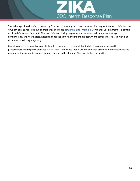

The full range of health effects caused by Zika virus is currently unknown. However, if a pregnant woman is infected, the virus can pass to her fetus during pregnancy and caus[e congenital Zika syndrome.](https://www.cdc.gov/zika/hc-providers/infants-children/zika-syndrome-birth-defects.html) Congenital Zika syndrome is a pattern of birth defects associated with Zika virus infection during pregnancy that includes brain abnormalities, eye abnormalities, and hearing loss. Research continues to further define the spectrum of anomalies associated with Zika virus infection during pregnancy.

Zika virus poses a serious risk to public health; therefore, it is essential that jurisdictions remain engaged in preparedness and response activities. States, locals, and tribes should use the guidance provided in this document and referenced throughout to prepare for and respond to the threat of Zika virus in their jurisdictions.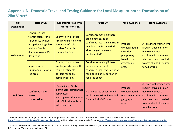#### **Appendix A - Domestic Travel and Testing Guidance for Local Mosquito-borne Transmission of Zika Virus\***

<span id="page-20-0"></span>

| <b>Risk</b>        | <b>Trigger On</b>                                                                                                                                                    | <b>Geographic Area with</b>                                                                                                               | <b>Trigger Off</b>                                                                                                                                                                      | <b>Travel Guidance</b>                                                                     | <b>Testing Guidance</b>                                                                                                                                                    |                                                                                                        |
|--------------------|----------------------------------------------------------------------------------------------------------------------------------------------------------------------|-------------------------------------------------------------------------------------------------------------------------------------------|-----------------------------------------------------------------------------------------------------------------------------------------------------------------------------------------|--------------------------------------------------------------------------------------------|----------------------------------------------------------------------------------------------------------------------------------------------------------------------------|--------------------------------------------------------------------------------------------------------|
| <b>Designation</b> |                                                                                                                                                                      | <b>Transmission Risk</b>                                                                                                                  |                                                                                                                                                                                         |                                                                                            |                                                                                                                                                                            |                                                                                                        |
| <b>Yellow Area</b> | <b>Confirmed local</b><br>transmission $\dagger$ for $\geq$<br>three cases without<br>an epidemiologic link<br>within a 5-mile<br>diameter over a 45-<br>day period. | County, city, or other<br>similar jurisdiction with<br>easily identifiable<br>borders for public<br>communication.                        | Consider removing if there<br>are no new cases of<br>confirmed local transmission <sup>§</sup><br>in at least a 45-day period<br>after the yellow area is<br>implemented <sup>1</sup> . | Pregnant<br>women should<br>consider<br>postponing<br>travel to the<br>geographic<br>area. | had sex without a                                                                                                                                                          | All pregnant women who<br>lived in, traveled to, or<br>condom with someone<br>who lived in or traveled |
|                    | Implemented<br>simultaneously with<br>red area.                                                                                                                      | County, city, or other<br>similar jurisdiction with<br>easily identifiable<br>borders for public<br>communication.                        | Consider removing if there<br>are no new cases of<br>confirmed local transmission <sup>§</sup><br>for a period of 45 days after<br>red area ends <sup>1</sup> .                         |                                                                                            | to area should be tested<br>for Zika virus.                                                                                                                                |                                                                                                        |
| <b>Red Area</b>    | Confirmed multi-<br>person<br>transmission**.                                                                                                                        | The smallest, easily<br>identifiable location that<br>completely<br>encompasses the area at<br>risk. Minimal area is 1-<br>mile diameter. | No new cases of confirmed<br>local transmission <sup>§</sup> identified<br>for a period of 45 days <sup>++</sup> .                                                                      | Pregnant<br>women should<br>not travel to the<br>geographic<br>area.                       | All pregnant women who<br>lived in, traveled to, or<br>had sex without a<br>condom with someone<br>who lived in or traveled<br>to area should be tested<br>for Zika virus. |                                                                                                        |

\* Recommendations for pregnant women and other people that live in areas with local mosquito-borne transmission can be found here: [https://www.cdc.gov/zika/geo/domestic-guidance.html.](https://www.cdc.gov/zika/geo/domestic-guidance.html) Additional guidance can also be found at [https://wwwnc.cdc.gov/travel/page/us-citizens-living-in-areas-with-zika.](https://wwwnc.cdc.gov/travel/page/us-citizens-living-in-areas-with-zika)

† A person who does not have risk factors for Zika virus acquisition through travel, sexual contact, or other known exposure with body fluids, and who tests positive for Zika virus infection per CDC laboratory guidance; **OR**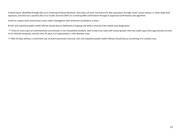A blood donor identified through Zika virus screening of blood donations, who does not have risk factors for Zika acquisition through travel, sexual contact, or other body fluid exposure, and who has a positive Zika virus nucleic acid test (NAT) on screening AND confirmation through an approved confirmatory test algorithm.

§ And no suspect local transmission cases under investigation with enhanced surveillance in place.

¶ CDC and state/local public health officials should discuss likelihood of ongoing risk before removal of the yellow area designation.

\*\* Three or more cases of confirmed local transmission in non-household members, with at least two cases with onsets greater than two weeks apart (the approximate survival of an infected mosquito), and less than 45 days in an approximate 1-mile diameter area.

†† After 45 days without a confirmed case of local transmission red area, CDC and state/local public health officials should discuss converting it to a yellow area.